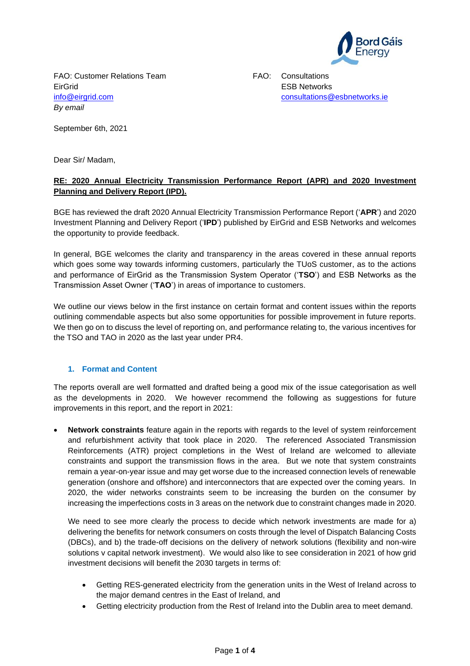

FAO: Customer Relations Team FAO: Consultations EirGrid ESB Networks *By email*

[info@eirgrid.com](mailto:info@eirgrid.com) [consultations@esbnetworks.ie](mailto:consultations@esbnetworks.ie)

September 6th, 2021

Dear Sir/ Madam,

# **RE: 2020 Annual Electricity Transmission Performance Report (APR) and 2020 Investment Planning and Delivery Report (IPD).**

BGE has reviewed the draft 2020 Annual Electricity Transmission Performance Report ('**APR**') and 2020 Investment Planning and Delivery Report ('**IPD**') published by EirGrid and ESB Networks and welcomes the opportunity to provide feedback.

In general, BGE welcomes the clarity and transparency in the areas covered in these annual reports which goes some way towards informing customers, particularly the TUoS customer, as to the actions and performance of EirGrid as the Transmission System Operator ('**TSO**') and ESB Networks as the Transmission Asset Owner ('**TAO**') in areas of importance to customers.

We outline our views below in the first instance on certain format and content issues within the reports outlining commendable aspects but also some opportunities for possible improvement in future reports. We then go on to discuss the level of reporting on, and performance relating to, the various incentives for the TSO and TAO in 2020 as the last year under PR4.

# **1. Format and Content**

The reports overall are well formatted and drafted being a good mix of the issue categorisation as well as the developments in 2020. We however recommend the following as suggestions for future improvements in this report, and the report in 2021:

• **Network constraints** feature again in the reports with regards to the level of system reinforcement and refurbishment activity that took place in 2020. The referenced Associated Transmission Reinforcements (ATR) project completions in the West of Ireland are welcomed to alleviate constraints and support the transmission flows in the area. But we note that system constraints remain a year-on-year issue and may get worse due to the increased connection levels of renewable generation (onshore and offshore) and interconnectors that are expected over the coming years. In 2020, the wider networks constraints seem to be increasing the burden on the consumer by increasing the imperfections costs in 3 areas on the network due to constraint changes made in 2020.

We need to see more clearly the process to decide which network investments are made for a) delivering the benefits for network consumers on costs through the level of Dispatch Balancing Costs (DBCs), and b) the trade-off decisions on the delivery of network solutions (flexibility and non-wire solutions v capital network investment). We would also like to see consideration in 2021 of how grid investment decisions will benefit the 2030 targets in terms of:

- Getting RES-generated electricity from the generation units in the West of Ireland across to the major demand centres in the East of Ireland, and
- Getting electricity production from the Rest of Ireland into the Dublin area to meet demand.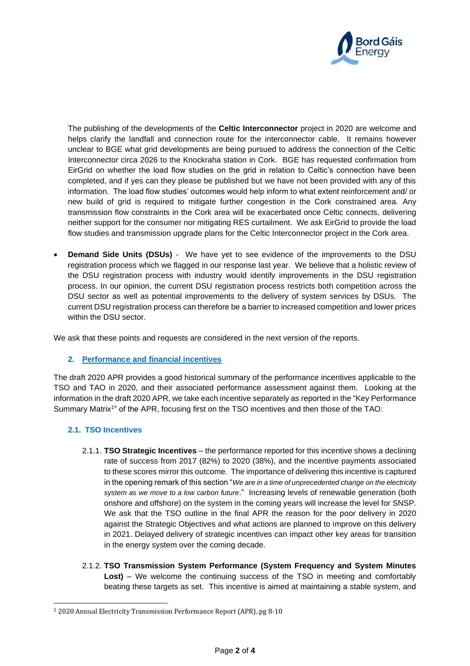

The publishing of the developments of the **Celtic Interconnector** project in 2020 are welcome and helps clarify the landfall and connection route for the interconnector cable. It remains however unclear to BGE what grid developments are being pursued to address the connection of the Celtic Interconnector circa 2026 to the Knockraha station in Cork. BGE has requested confirmation from EirGrid on whether the load flow studies on the grid in relation to Celtic's connection have been completed, and if yes can they please be published but we have not been provided with any of this information. The load flow studies' outcomes would help inform to what extent reinforcement and/ or new build of grid is required to mitigate further congestion in the Cork constrained area. Any transmission flow constraints in the Cork area will be exacerbated once Celtic connects, delivering neither support for the consumer nor mitigating RES curtailment. We ask EirGrid to provide the load flow studies and transmission upgrade plans for the Celtic Interconnector project in the Cork area.

• **Demand Side Units (DSUs)** - We have yet to see evidence of the improvements to the DSU registration process which we flagged in our response last year. We believe that a holistic review of the DSU registration process with industry would identify improvements in the DSU registration process. In our opinion, the current DSU registration process restricts both competition across the DSU sector as well as potential improvements to the delivery of system services by DSUs. The current DSU registration process can therefore be a barrier to increased competition and lower prices within the DSU sector.

We ask that these points and requests are considered in the next version of the reports.

## **2. Performance and financial incentives**

The draft 2020 APR provides a good historical summary of the performance incentives applicable to the TSO and TAO in 2020, and their associated performance assessment against them. Looking at the information in the draft 2020 APR, we take each incentive separately as reported in the "Key Performance Summary Matrix<sup>1</sup>" of the APR, focusing first on the TSO incentives and then those of the TAO:

## **2.1. TSO Incentives**

- 2.1.1. **TSO Strategic Incentives** the performance reported for this incentive shows a declining rate of success from 2017 (82%) to 2020 (38%), and the incentive payments associated to these scores mirror this outcome. The importance of delivering this incentive is captured in the opening remark of this section "*We are in a time of unprecedented change on the electricity system as we move to a low carbon future*." Increasing levels of renewable generation (both onshore and offshore) on the system in the coming years will increase the level for SNSP. We ask that the TSO outline in the final APR the reason for the poor delivery in 2020 against the Strategic Objectives and what actions are planned to improve on this delivery in 2021. Delayed delivery of strategic incentives can impact other key areas for transition in the energy system over the coming decade.
- 2.1.2. **TSO Transmission System Performance (System Frequency and System Minutes Lost)** – We welcome the continuing success of the TSO in meeting and comfortably beating these targets as set. This incentive is aimed at maintaining a stable system, and

<sup>1</sup> 2020 Annual Electricity Transmission Performance Report (APR), pg 8-10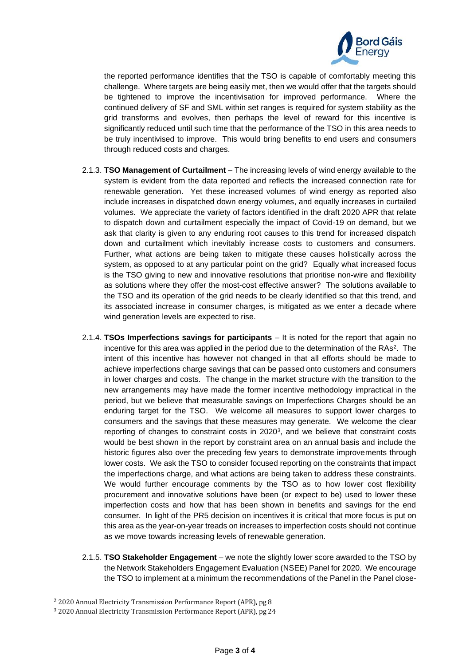

the reported performance identifies that the TSO is capable of comfortably meeting this challenge. Where targets are being easily met, then we would offer that the targets should be tightened to improve the incentivisation for improved performance. Where the continued delivery of SF and SML within set ranges is required for system stability as the grid transforms and evolves, then perhaps the level of reward for this incentive is significantly reduced until such time that the performance of the TSO in this area needs to be truly incentivised to improve. This would bring benefits to end users and consumers through reduced costs and charges.

- 2.1.3. **TSO Management of Curtailment**  The increasing levels of wind energy available to the system is evident from the data reported and reflects the increased connection rate for renewable generation. Yet these increased volumes of wind energy as reported also include increases in dispatched down energy volumes, and equally increases in curtailed volumes. We appreciate the variety of factors identified in the draft 2020 APR that relate to dispatch down and curtailment especially the impact of Covid-19 on demand, but we ask that clarity is given to any enduring root causes to this trend for increased dispatch down and curtailment which inevitably increase costs to customers and consumers. Further, what actions are being taken to mitigate these causes holistically across the system, as opposed to at any particular point on the grid? Equally what increased focus is the TSO giving to new and innovative resolutions that prioritise non-wire and flexibility as solutions where they offer the most-cost effective answer? The solutions available to the TSO and its operation of the grid needs to be clearly identified so that this trend, and its associated increase in consumer charges, is mitigated as we enter a decade where wind generation levels are expected to rise.
- 2.1.4. **TSOs Imperfections savings for participants** It is noted for the report that again no incentive for this area was applied in the period due to the determination of the RAs<sup>2</sup>. The intent of this incentive has however not changed in that all efforts should be made to achieve imperfections charge savings that can be passed onto customers and consumers in lower charges and costs. The change in the market structure with the transition to the new arrangements may have made the former incentive methodology impractical in the period, but we believe that measurable savings on Imperfections Charges should be an enduring target for the TSO. We welcome all measures to support lower charges to consumers and the savings that these measures may generate. We welcome the clear reporting of changes to constraint costs in 2020<sup>3</sup>, and we believe that constraint costs would be best shown in the report by constraint area on an annual basis and include the historic figures also over the preceding few years to demonstrate improvements through lower costs. We ask the TSO to consider focused reporting on the constraints that impact the imperfections charge, and what actions are being taken to address these constraints. We would further encourage comments by the TSO as to how lower cost flexibility procurement and innovative solutions have been (or expect to be) used to lower these imperfection costs and how that has been shown in benefits and savings for the end consumer. In light of the PR5 decision on incentives it is critical that more focus is put on this area as the year-on-year treads on increases to imperfection costs should not continue as we move towards increasing levels of renewable generation.
- 2.1.5. **TSO Stakeholder Engagement** we note the slightly lower score awarded to the TSO by the Network Stakeholders Engagement Evaluation (NSEE) Panel for 2020. We encourage the TSO to implement at a minimum the recommendations of the Panel in the Panel close-

<sup>2</sup> 2020 Annual Electricity Transmission Performance Report (APR), pg 8

<sup>3</sup> 2020 Annual Electricity Transmission Performance Report (APR), pg 24